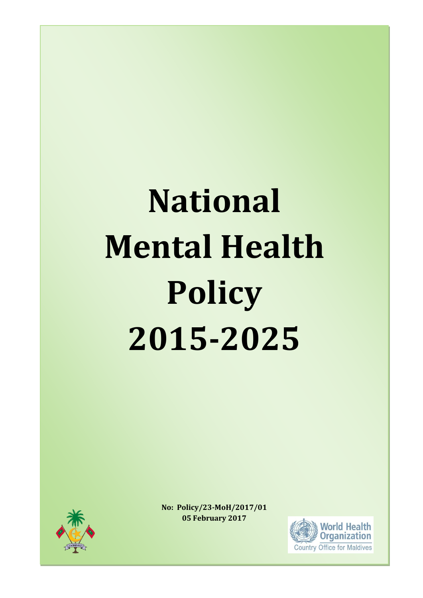# **National Mental Health Policy 2015-2025**



**No: Policy/23-MoH/2017/01 05 February 2017**

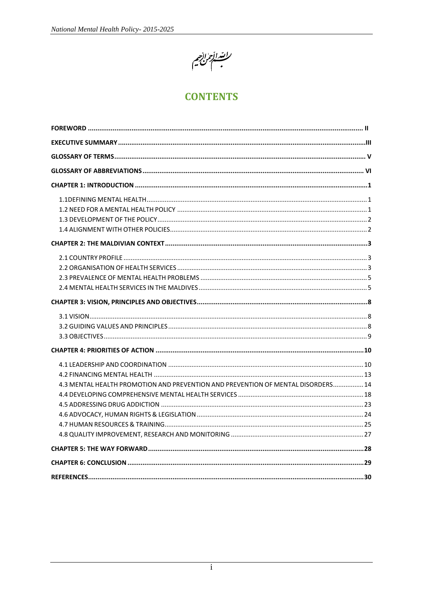

# **CONTENTS**

| 4.3 MENTAL HEALTH PROMOTION AND PREVENTION AND PREVENTION OF MENTAL DISORDERS 14 |  |
|----------------------------------------------------------------------------------|--|
|                                                                                  |  |
|                                                                                  |  |
|                                                                                  |  |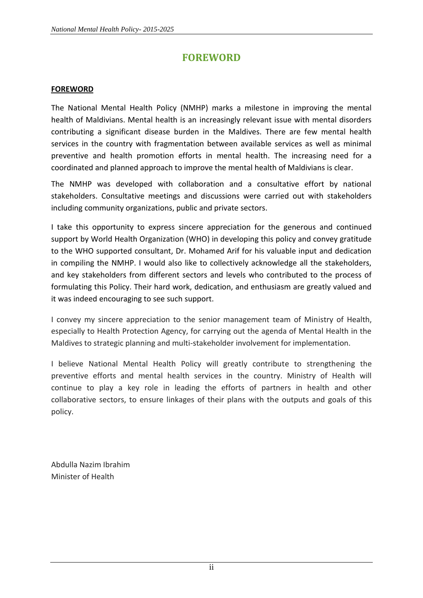# **FOREWORD**

#### <span id="page-2-0"></span>**FOREWORD**

The National Mental Health Policy (NMHP) marks a milestone in improving the mental health of Maldivians. Mental health is an increasingly relevant issue with mental disorders contributing a significant disease burden in the Maldives. There are few mental health services in the country with fragmentation between available services as well as minimal preventive and health promotion efforts in mental health. The increasing need for a coordinated and planned approach to improve the mental health of Maldivians is clear.

The NMHP was developed with collaboration and a consultative effort by national stakeholders. Consultative meetings and discussions were carried out with stakeholders including community organizations, public and private sectors.

I take this opportunity to express sincere appreciation for the generous and continued support by World Health Organization (WHO) in developing this policy and convey gratitude to the WHO supported consultant, Dr. Mohamed Arif for his valuable input and dedication in compiling the NMHP. I would also like to collectively acknowledge all the stakeholders, and key stakeholders from different sectors and levels who contributed to the process of formulating this Policy. Their hard work, dedication, and enthusiasm are greatly valued and it was indeed encouraging to see such support.

I convey my sincere appreciation to the senior management team of Ministry of Health, especially to Health Protection Agency, for carrying out the agenda of Mental Health in the Maldives to strategic planning and multi-stakeholder involvement for implementation.

I believe National Mental Health Policy will greatly contribute to strengthening the preventive efforts and mental health services in the country. Ministry of Health will continue to play a key role in leading the efforts of partners in health and other collaborative sectors, to ensure linkages of their plans with the outputs and goals of this policy.

Abdulla Nazim Ibrahim Minister of Health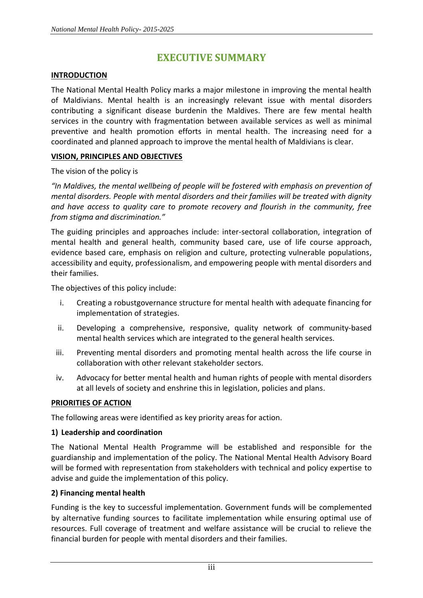# **EXECUTIVE SUMMARY**

#### **INTRODUCTION**

The National Mental Health Policy marks a major milestone in improving the mental health of Maldivians. Mental health is an increasingly relevant issue with mental disorders contributing a significant disease burdenin the Maldives. There are few mental health services in the country with fragmentation between available services as well as minimal preventive and health promotion efforts in mental health. The increasing need for a coordinated and planned approach to improve the mental health of Maldivians is clear.

#### **VISION, PRINCIPLES AND OBJECTIVES**

#### The vision of the policy is

*"In Maldives, the mental wellbeing of people will be fostered with emphasis on prevention of mental disorders. People with mental disorders and their families will be treated with dignity and have access to quality care to promote recovery and flourish in the community, free from stigma and discrimination."*

The guiding principles and approaches include: inter-sectoral collaboration, integration of mental health and general health, community based care, use of life course approach, evidence based care, emphasis on religion and culture, protecting vulnerable populations, accessibility and equity, professionalism, and empowering people with mental disorders and their families.

The objectives of this policy include:

- i. Creating a robustgovernance structure for mental health with adequate financing for implementation of strategies.
- ii. Developing a comprehensive, responsive, quality network of community-based mental health services which are integrated to the general health services.
- iii. Preventing mental disorders and promoting mental health across the life course in collaboration with other relevant stakeholder sectors.
- iv. Advocacy for better mental health and human rights of people with mental disorders at all levels of society and enshrine this in legislation, policies and plans.

#### **PRIORITIES OF ACTION**

The following areas were identified as key priority areas for action.

#### **1) Leadership and coordination**

The National Mental Health Programme will be established and responsible for the guardianship and implementation of the policy. The National Mental Health Advisory Board will be formed with representation from stakeholders with technical and policy expertise to advise and guide the implementation of this policy.

#### **2) Financing mental health**

Funding is the key to successful implementation. Government funds will be complemented by alternative funding sources to facilitate implementation while ensuring optimal use of resources. Full coverage of treatment and welfare assistance will be crucial to relieve the financial burden for people with mental disorders and their families.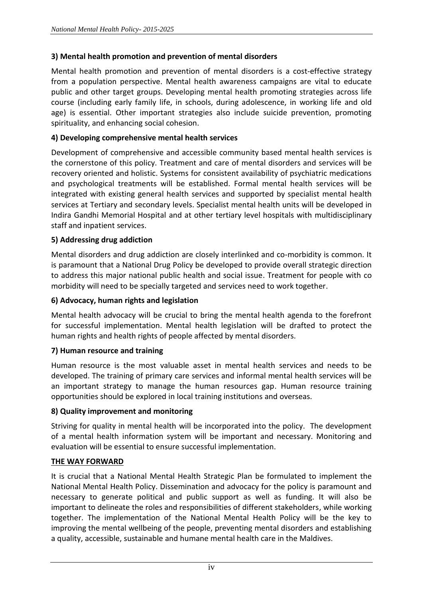#### **3) Mental health promotion and prevention of mental disorders**

Mental health promotion and prevention of mental disorders is a cost-effective strategy from a population perspective. Mental health awareness campaigns are vital to educate public and other target groups. Developing mental health promoting strategies across life course (including early family life, in schools, during adolescence, in working life and old age) is essential. Other important strategies also include suicide prevention, promoting spirituality, and enhancing social cohesion.

#### **4) Developing comprehensive mental health services**

Development of comprehensive and accessible community based mental health services is the cornerstone of this policy. Treatment and care of mental disorders and services will be recovery oriented and holistic. Systems for consistent availability of psychiatric medications and psychological treatments will be established. Formal mental health services will be integrated with existing general health services and supported by specialist mental health services at Tertiary and secondary levels. Specialist mental health units will be developed in Indira Gandhi Memorial Hospital and at other tertiary level hospitals with multidisciplinary staff and inpatient services.

#### **5) Addressing drug addiction**

Mental disorders and drug addiction are closely interlinked and co-morbidity is common. It is paramount that a National Drug Policy be developed to provide overall strategic direction to address this major national public health and social issue. Treatment for people with co morbidity will need to be specially targeted and services need to work together.

#### **6) Advocacy, human rights and legislation**

Mental health advocacy will be crucial to bring the mental health agenda to the forefront for successful implementation. Mental health legislation will be drafted to protect the human rights and health rights of people affected by mental disorders.

#### **7) Human resource and training**

Human resource is the most valuable asset in mental health services and needs to be developed. The training of primary care services and informal mental health services will be an important strategy to manage the human resources gap. Human resource training opportunities should be explored in local training institutions and overseas.

#### **8) Quality improvement and monitoring**

Striving for quality in mental health will be incorporated into the policy. The development of a mental health information system will be important and necessary. Monitoring and evaluation will be essential to ensure successful implementation.

#### **THE WAY FORWARD**

It is crucial that a National Mental Health Strategic Plan be formulated to implement the National Mental Health Policy. Dissemination and advocacy for the policy is paramount and necessary to generate political and public support as well as funding. It will also be important to delineate the roles and responsibilities of different stakeholders, while working together. The implementation of the National Mental Health Policy will be the key to improving the mental wellbeing of the people, preventing mental disorders and establishing a quality, accessible, sustainable and humane mental health care in the Maldives.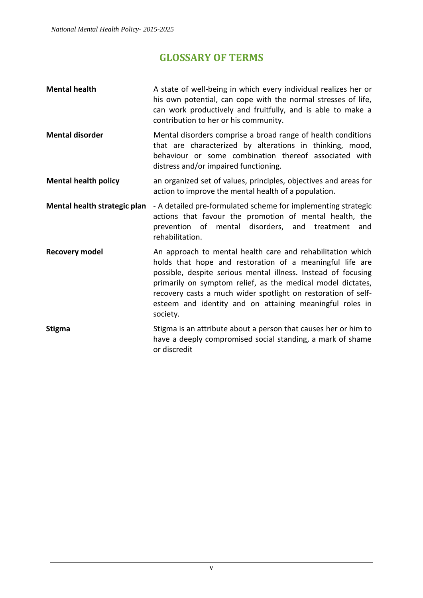# **GLOSSARY OF TERMS**

<span id="page-5-0"></span>

| <b>Mental health</b>         | A state of well-being in which every individual realizes her or<br>his own potential, can cope with the normal stresses of life,<br>can work productively and fruitfully, and is able to make a<br>contribution to her or his community.                                                                                                                                                        |  |  |
|------------------------------|-------------------------------------------------------------------------------------------------------------------------------------------------------------------------------------------------------------------------------------------------------------------------------------------------------------------------------------------------------------------------------------------------|--|--|
| <b>Mental disorder</b>       | Mental disorders comprise a broad range of health conditions<br>that are characterized by alterations in thinking, mood,<br>behaviour or some combination thereof associated with<br>distress and/or impaired functioning.                                                                                                                                                                      |  |  |
| <b>Mental health policy</b>  | an organized set of values, principles, objectives and areas for<br>action to improve the mental health of a population.                                                                                                                                                                                                                                                                        |  |  |
| Mental health strategic plan | - A detailed pre-formulated scheme for implementing strategic<br>actions that favour the promotion of mental health, the<br>prevention of mental disorders, and treatment<br>and<br>rehabilitation.                                                                                                                                                                                             |  |  |
| <b>Recovery model</b>        | An approach to mental health care and rehabilitation which<br>holds that hope and restoration of a meaningful life are<br>possible, despite serious mental illness. Instead of focusing<br>primarily on symptom relief, as the medical model dictates,<br>recovery casts a much wider spotlight on restoration of self-<br>esteem and identity and on attaining meaningful roles in<br>society. |  |  |
| <b>Stigma</b>                | Stigma is an attribute about a person that causes her or him to<br>have a deeply compromised social standing, a mark of shame<br>or discredit                                                                                                                                                                                                                                                   |  |  |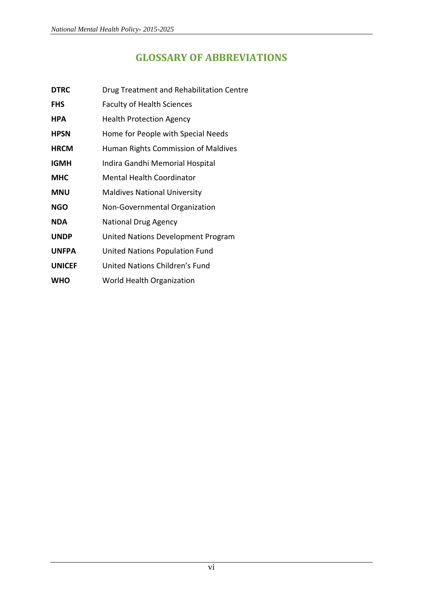# **GLOSSARY OF ABBREVIATIONS**

- <span id="page-6-0"></span>**DTRC** Drug Treatment and Rehabilitation Centre
- FHS Faculty of Health Sciences
- **HPA** Health Protection Agency
- **HPSN** Home for People with Special Needs
- **HRCM** Human Rights Commission of Maldives
- **IGMH** Indira Gandhi Memorial Hospital
- **MHC** Mental Health Coordinator
- **MNU** Maldives National University
- **NGO** Non-Governmental Organization
- **NDA** National Drug Agency
- **UNDP** United Nations Development Program
- **UNFPA** United Nations Population Fund
- **UNICEF** United Nations Children's Fund
- **WHO** World Health Organization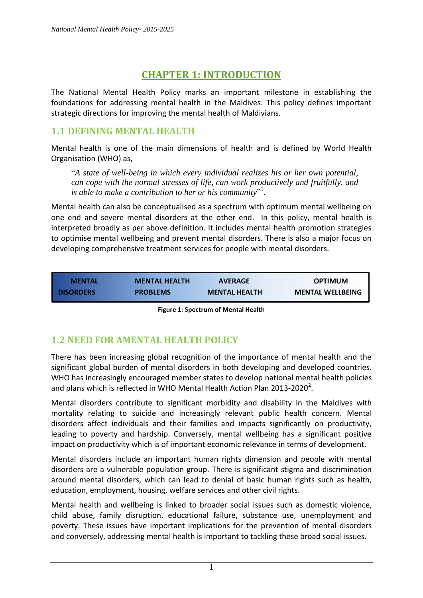# **CHAPTER 1: INTRODUCTION**

<span id="page-7-0"></span>The National Mental Health Policy marks an important milestone in establishing the foundations for addressing mental health in the Maldives. This policy defines important strategic directions for improving the mental health of Maldivians.

# <span id="page-7-1"></span>**1.1 DEFINING MENTAL HEALTH**

Mental health is one of the main dimensions of health and is defined by World Health Organisation (WHO) as,

"*A state of well-being in which every individual realizes his or her own potential, can cope with the normal stresses of life, can work productively and fruitfully, and is able to make a contribution to her or his community*" 1 .

Mental health can also be conceptualised as a spectrum with optimum mental wellbeing on one end and severe mental disorders at the other end. In this policy, mental health is interpreted broadly as per above definition. It includes mental health promotion strategies to optimise mental wellbeing and prevent mental disorders. There is also a major focus on developing comprehensive treatment services for people with mental disorders.

| <b>MENTAL</b>    | <b>MENTAL HEALTH</b> | <b>AVERAGE</b>       | <b>OPTIMUM</b>          |
|------------------|----------------------|----------------------|-------------------------|
| <b>DISORDERS</b> | <b>PROBLEMS</b>      | <b>MENTAL HEALTH</b> | <b>MENTAL WELLBEING</b> |

# <span id="page-7-2"></span>**1.2 NEED FOR AMENTAL HEALTH POLICY**

There has been increasing global recognition of the importance of mental health and the significant global burden of mental disorders in both developing and developed countries. WHO has increasingly encouraged member states to develop national mental health policies and plans which is reflected in WHO Mental Health Action Plan 2013-2020<sup>2</sup>.

Mental disorders contribute to significant morbidity and disability in the Maldives with mortality relating to suicide and increasingly relevant public health concern. Mental disorders affect individuals and their families and impacts significantly on productivity, leading to poverty and hardship. Conversely, mental wellbeing has a significant positive impact on productivity which is of important economic relevance in terms of development.

Mental disorders include an important human rights dimension and people with mental disorders are a vulnerable population group. There is significant stigma and discrimination around mental disorders, which can lead to denial of basic human rights such as health, education, employment, housing, welfare services and other civil rights.

Mental health and wellbeing is linked to broader social issues such as domestic violence, child abuse, family disruption, educational failure, substance use, unemployment and poverty. These issues have important implications for the prevention of mental disorders and conversely, addressing mental health is important to tackling these broad social issues.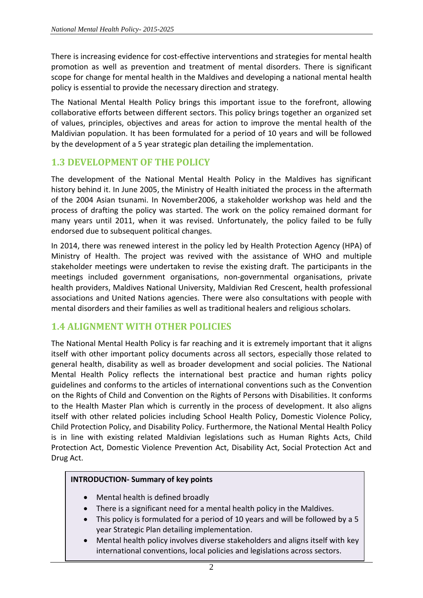There is increasing evidence for cost-effective interventions and strategies for mental health promotion as well as prevention and treatment of mental disorders. There is significant scope for change for mental health in the Maldives and developing a national mental health policy is essential to provide the necessary direction and strategy.

The National Mental Health Policy brings this important issue to the forefront, allowing collaborative efforts between different sectors. This policy brings together an organized set of values, principles, objectives and areas for action to improve the mental health of the Maldivian population. It has been formulated for a period of 10 years and will be followed by the development of a 5 year strategic plan detailing the implementation.

## <span id="page-8-0"></span>**1.3 DEVELOPMENT OF THE POLICY**

The development of the National Mental Health Policy in the Maldives has significant history behind it. In June 2005, the Ministry of Health initiated the process in the aftermath of the 2004 Asian tsunami. In November2006, a stakeholder workshop was held and the process of drafting the policy was started. The work on the policy remained dormant for many years until 2011, when it was revised. Unfortunately, the policy failed to be fully endorsed due to subsequent political changes.

In 2014, there was renewed interest in the policy led by Health Protection Agency (HPA) of Ministry of Health. The project was revived with the assistance of WHO and multiple stakeholder meetings were undertaken to revise the existing draft. The participants in the meetings included government organisations, non-governmental organisations, private health providers, Maldives National University, Maldivian Red Crescent, health professional associations and United Nations agencies. There were also consultations with people with mental disorders and their families as well as traditional healers and religious scholars.

# <span id="page-8-1"></span>**1.4 ALIGNMENT WITH OTHER POLICIES**

The National Mental Health Policy is far reaching and it is extremely important that it aligns itself with other important policy documents across all sectors, especially those related to general health, disability as well as broader development and social policies. The National Mental Health Policy reflects the international best practice and human rights policy guidelines and conforms to the articles of international conventions such as the Convention on the Rights of Child and Convention on the Rights of Persons with Disabilities. It conforms to the Health Master Plan which is currently in the process of development. It also aligns itself with other related policies including School Health Policy, Domestic Violence Policy, Child Protection Policy, and Disability Policy. Furthermore, the National Mental Health Policy is in line with existing related Maldivian legislations such as Human Rights Acts, Child Protection Act, Domestic Violence Prevention Act, Disability Act, Social Protection Act and Drug Act.

#### **INTRODUCTION- Summary of key points**

- Mental health is defined broadly
- There is a significant need for a mental health policy in the Maldives.
- This policy is formulated for a period of 10 years and will be followed by a 5 year Strategic Plan detailing implementation.
- Mental health policy involves diverse stakeholders and aligns itself with key international conventions, local policies and legislations across sectors.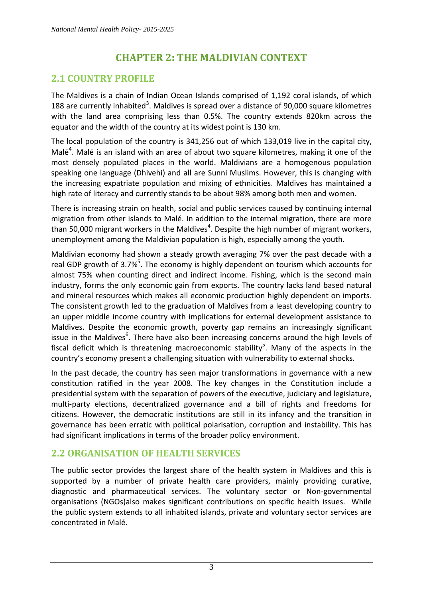# **CHAPTER 2: THE MALDIVIAN CONTEXT**

# <span id="page-9-1"></span><span id="page-9-0"></span>**2.1 COUNTRY PROFILE**

The Maldives is a chain of Indian Ocean Islands comprised of 1,192 coral islands, of which 188 are currently inhabited<sup>3</sup>. Maldives is spread over a distance of 90,000 square kilometres with the land area comprising less than 0.5%. The country extends 820km across the equator and the width of the country at its widest point is 130 km.

The local population of the country is 341,256 out of which 133,019 live in the capital city, Malé<sup>4</sup>. Malé is an island with an area of about two square kilometres, making it one of the most densely populated places in the world. Maldivians are a homogenous population speaking one language (Dhivehi) and all are Sunni Muslims. However, this is changing with the increasing expatriate population and mixing of ethnicities. Maldives has maintained a high rate of literacy and currently stands to be about 98% among both men and women.

There is increasing strain on health, social and public services caused by continuing internal migration from other islands to Malé. In addition to the internal migration, there are more than 50,000 migrant workers in the Maldives<sup>4</sup>. Despite the high number of migrant workers, unemployment among the Maldivian population is high, especially among the youth.

Maldivian economy had shown a steady growth averaging 7% over the past decade with a real GDP growth of 3.7%<sup>5</sup>. The economy is highly dependent on tourism which accounts for almost 75% when counting direct and indirect income. Fishing, which is the second main industry, forms the only economic gain from exports. The country lacks land based natural and mineral resources which makes all economic production highly dependent on imports. The consistent growth led to the graduation of Maldives from a least developing country to an upper middle income country with implications for external development assistance to Maldives. Despite the economic growth, poverty gap remains an increasingly significant issue in the Maldives<sup>6</sup>. There have also been increasing concerns around the high levels of fiscal deficit which is threatening macroeconomic stability<sup>5</sup>. Many of the aspects in the country's economy present a challenging situation with vulnerability to external shocks.

In the past decade, the country has seen major transformations in governance with a new constitution ratified in the year 2008. The key changes in the Constitution include a presidential system with the separation of powers of the executive, judiciary and legislature, multi-party elections, decentralized governance and a bill of rights and freedoms for citizens. However, the democratic institutions are still in its infancy and the transition in governance has been erratic with political polarisation, corruption and instability. This has had significant implications in terms of the broader policy environment.

# <span id="page-9-2"></span>**2.2 ORGANISATION OF HEALTH SERVICES**

The public sector provides the largest share of the health system in Maldives and this is supported by a number of private health care providers, mainly providing curative, diagnostic and pharmaceutical services. The voluntary sector or Non-governmental organisations (NGOs)also makes significant contributions on specific health issues. While the public system extends to all inhabited islands, private and voluntary sector services are concentrated in Malé.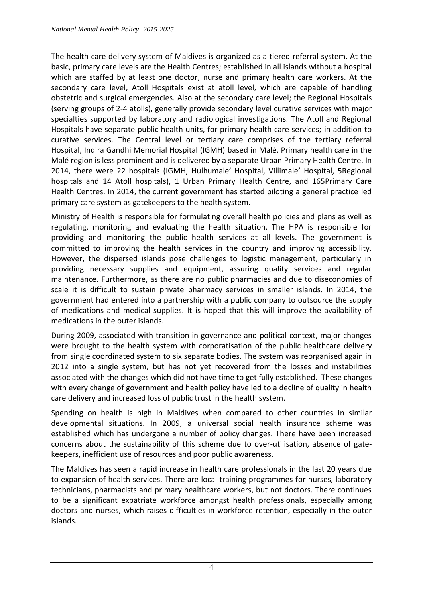The health care delivery system of Maldives is organized as a tiered referral system. At the basic, primary care levels are the Health Centres; established in all islands without a hospital which are staffed by at least one doctor, nurse and primary health care workers. At the secondary care level, Atoll Hospitals exist at atoll level, which are capable of handling obstetric and surgical emergencies. Also at the secondary care level; the Regional Hospitals (serving groups of 2-4 atolls), generally provide secondary level curative services with major specialties supported by laboratory and radiological investigations. The Atoll and Regional Hospitals have separate public health units, for primary health care services; in addition to curative services. The Central level or tertiary care comprises of the tertiary referral Hospital, Indira Gandhi Memorial Hospital (IGMH) based in Malé. Primary health care in the Malé region is less prominent and is delivered by a separate Urban Primary Health Centre. In 2014, there were 22 hospitals (IGMH, Hulhumale' Hospital, Villimale' Hospital, 5Regional hospitals and 14 Atoll hospitals), 1 Urban Primary Health Centre, and 165Primary Care Health Centres. In 2014, the current government has started piloting a general practice led primary care system as gatekeepers to the health system.

Ministry of Health is responsible for formulating overall health policies and plans as well as regulating, monitoring and evaluating the health situation. The HPA is responsible for providing and monitoring the public health services at all levels. The government is committed to improving the health services in the country and improving accessibility. However, the dispersed islands pose challenges to logistic management, particularly in providing necessary supplies and equipment, assuring quality services and regular maintenance. Furthermore, as there are no public pharmacies and due to diseconomies of scale it is difficult to sustain private pharmacy services in smaller islands. In 2014, the government had entered into a partnership with a public company to outsource the supply of medications and medical supplies. It is hoped that this will improve the availability of medications in the outer islands.

During 2009, associated with transition in governance and political context, major changes were brought to the health system with corporatisation of the public healthcare delivery from single coordinated system to six separate bodies. The system was reorganised again in 2012 into a single system, but has not yet recovered from the losses and instabilities associated with the changes which did not have time to get fully established. These changes with every change of government and health policy have led to a decline of quality in health care delivery and increased loss of public trust in the health system.

Spending on health is high in Maldives when compared to other countries in similar developmental situations. In 2009, a universal social health insurance scheme was established which has undergone a number of policy changes. There have been increased concerns about the sustainability of this scheme due to over-utilisation, absence of gatekeepers, inefficient use of resources and poor public awareness.

<span id="page-10-0"></span>The Maldives has seen a rapid increase in health care professionals in the last 20 years due to expansion of health services. There are local training programmes for nurses, laboratory technicians, pharmacists and primary healthcare workers, but not doctors. There continues to be a significant expatriate workforce amongst health professionals, especially among doctors and nurses, which raises difficulties in workforce retention, especially in the outer islands.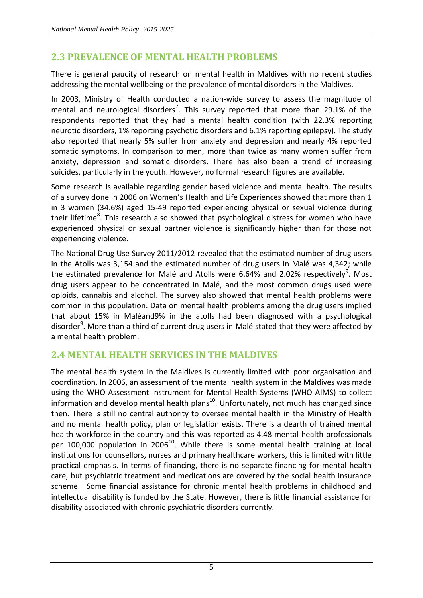# **2.3 PREVALENCE OF MENTAL HEALTH PROBLEMS**

There is general paucity of research on mental health in Maldives with no recent studies addressing the mental wellbeing or the prevalence of mental disorders in the Maldives.

In 2003, Ministry of Health conducted a nation-wide survey to assess the magnitude of mental and neurological disorders<sup>7</sup>. This survey reported that more than 29.1% of the respondents reported that they had a mental health condition (with 22.3% reporting neurotic disorders, 1% reporting psychotic disorders and 6.1% reporting epilepsy). The study also reported that nearly 5% suffer from anxiety and depression and nearly 4% reported somatic symptoms. In comparison to men, more than twice as many women suffer from anxiety, depression and somatic disorders. There has also been a trend of increasing suicides, particularly in the youth. However, no formal research figures are available.

Some research is available regarding gender based violence and mental health. The results of a survey done in 2006 on Women's Health and Life Experiences showed that more than 1 in 3 women (34.6%) aged 15-49 reported experiencing physical or sexual violence during their lifetime<sup>8</sup>. This research also showed that psychological distress for women who have experienced physical or sexual partner violence is significantly higher than for those not experiencing violence.

The National Drug Use Survey 2011/2012 revealed that the estimated number of drug users in the Atolls was 3,154 and the estimated number of drug users in Malé was 4,342; while the estimated prevalence for Malé and Atolls were 6.64% and 2.02% respectively<sup>9</sup>. Most drug users appear to be concentrated in Malé, and the most common drugs used were opioids, cannabis and alcohol. The survey also showed that mental health problems were common in this population. Data on mental health problems among the drug users implied that about 15% in Maléand9% in the atolls had been diagnosed with a psychological disorder<sup>9</sup>. More than a third of current drug users in Malé stated that they were affected by a mental health problem.

# <span id="page-11-0"></span>**2.4 MENTAL HEALTH SERVICES IN THE MALDIVES**

The mental health system in the Maldives is currently limited with poor organisation and coordination. In 2006, an assessment of the mental health system in the Maldives was made using the WHO Assessment Instrument for Mental Health Systems (WHO-AIMS) to collect information and develop mental health plans<sup>10</sup>. Unfortunately, not much has changed since then. There is still no central authority to oversee mental health in the Ministry of Health and no mental health policy, plan or legislation exists. There is a dearth of trained mental health workforce in the country and this was reported as 4.48 mental health professionals per 100,000 population in 2006<sup>10</sup>. While there is some mental health training at local institutions for counsellors, nurses and primary healthcare workers, this is limited with little practical emphasis. In terms of financing, there is no separate financing for mental health care, but psychiatric treatment and medications are covered by the social health insurance scheme. Some financial assistance for chronic mental health problems in childhood and intellectual disability is funded by the State. However, there is little financial assistance for disability associated with chronic psychiatric disorders currently.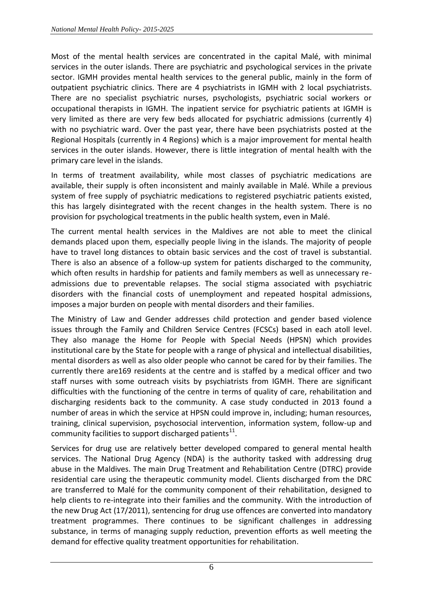Most of the mental health services are concentrated in the capital Malé, with minimal services in the outer islands. There are psychiatric and psychological services in the private sector. IGMH provides mental health services to the general public, mainly in the form of outpatient psychiatric clinics. There are 4 psychiatrists in IGMH with 2 local psychiatrists. There are no specialist psychiatric nurses, psychologists, psychiatric social workers or occupational therapists in IGMH. The inpatient service for psychiatric patients at IGMH is very limited as there are very few beds allocated for psychiatric admissions (currently 4) with no psychiatric ward. Over the past year, there have been psychiatrists posted at the Regional Hospitals (currently in 4 Regions) which is a major improvement for mental health services in the outer islands. However, there is little integration of mental health with the primary care level in the islands.

In terms of treatment availability, while most classes of psychiatric medications are available, their supply is often inconsistent and mainly available in Malé. While a previous system of free supply of psychiatric medications to registered psychiatric patients existed, this has largely disintegrated with the recent changes in the health system. There is no provision for psychological treatments in the public health system, even in Malé.

The current mental health services in the Maldives are not able to meet the clinical demands placed upon them, especially people living in the islands. The majority of people have to travel long distances to obtain basic services and the cost of travel is substantial. There is also an absence of a follow-up system for patients discharged to the community, which often results in hardship for patients and family members as well as unnecessary readmissions due to preventable relapses. The social stigma associated with psychiatric disorders with the financial costs of unemployment and repeated hospital admissions, imposes a major burden on people with mental disorders and their families.

The Ministry of Law and Gender addresses child protection and gender based violence issues through the Family and Children Service Centres (FCSCs) based in each atoll level. They also manage the Home for People with Special Needs (HPSN) which provides institutional care by the State for people with a range of physical and intellectual disabilities, mental disorders as well as also older people who cannot be cared for by their families. The currently there are169 residents at the centre and is staffed by a medical officer and two staff nurses with some outreach visits by psychiatrists from IGMH. There are significant difficulties with the functioning of the centre in terms of quality of care, rehabilitation and discharging residents back to the community. A case study conducted in 2013 found a number of areas in which the service at HPSN could improve in, including; human resources, training, clinical supervision, psychosocial intervention, information system, follow-up and community facilities to support discharged patients<sup>11</sup>.

Services for drug use are relatively better developed compared to general mental health services. The National Drug Agency (NDA) is the authority tasked with addressing drug abuse in the Maldives. The main Drug Treatment and Rehabilitation Centre (DTRC) provide residential care using the therapeutic community model. Clients discharged from the DRC are transferred to Malé for the community component of their rehabilitation, designed to help clients to re-integrate into their families and the community. With the introduction of the new Drug Act (17/2011), sentencing for drug use offences are converted into mandatory treatment programmes. There continues to be significant challenges in addressing substance, in terms of managing supply reduction, prevention efforts as well meeting the demand for effective quality treatment opportunities for rehabilitation.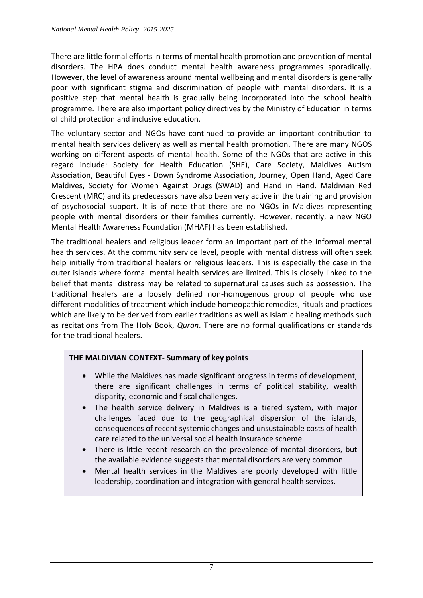There are little formal efforts in terms of mental health promotion and prevention of mental disorders. The HPA does conduct mental health awareness programmes sporadically. However, the level of awareness around mental wellbeing and mental disorders is generally poor with significant stigma and discrimination of people with mental disorders. It is a positive step that mental health is gradually being incorporated into the school health programme. There are also important policy directives by the Ministry of Education in terms of child protection and inclusive education.

The voluntary sector and NGOs have continued to provide an important contribution to mental health services delivery as well as mental health promotion. There are many NGOS working on different aspects of mental health. Some of the NGOs that are active in this regard include: Society for Health Education (SHE), Care Society, Maldives Autism Association, Beautiful Eyes - Down Syndrome Association, Journey, Open Hand, Aged Care Maldives, Society for Women Against Drugs (SWAD) and Hand in Hand. Maldivian Red Crescent (MRC) and its predecessors have also been very active in the training and provision of psychosocial support. It is of note that there are no NGOs in Maldives representing people with mental disorders or their families currently. However, recently, a new NGO Mental Health Awareness Foundation (MHAF) has been established.

The traditional healers and religious leader form an important part of the informal mental health services. At the community service level, people with mental distress will often seek help initially from traditional healers or religious leaders. This is especially the case in the outer islands where formal mental health services are limited. This is closely linked to the belief that mental distress may be related to supernatural causes such as possession. The traditional healers are a loosely defined non-homogenous group of people who use different modalities of treatment which include homeopathic remedies, rituals and practices which are likely to be derived from earlier traditions as well as Islamic healing methods such as recitations from The Holy Book, *Quran*. There are no formal qualifications or standards for the traditional healers.

#### **THE MALDIVIAN CONTEXT- Summary of key points**

- While the Maldives has made significant progress in terms of development, there are significant challenges in terms of political stability, wealth disparity, economic and fiscal challenges.
- The health service delivery in Maldives is a tiered system, with major challenges faced due to the geographical dispersion of the islands, consequences of recent systemic changes and unsustainable costs of health care related to the universal social health insurance scheme.
- There is little recent research on the prevalence of mental disorders, but the available evidence suggests that mental disorders are very common.
- Mental health services in the Maldives are poorly developed with little leadership, coordination and integration with general health services.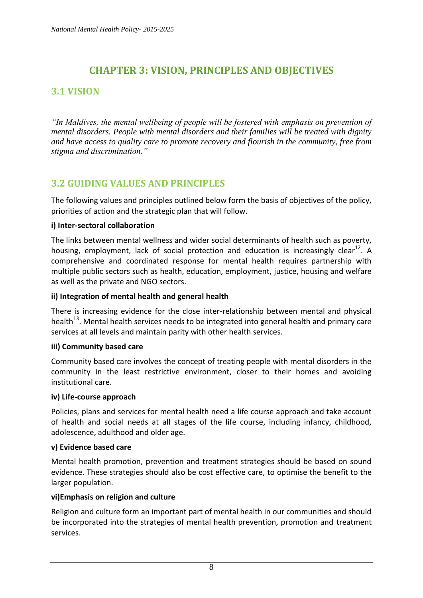# **CHAPTER 3: VISION, PRINCIPLES AND OBJECTIVES**

# <span id="page-14-1"></span><span id="page-14-0"></span>**3.1 VISION**

*"In Maldives, the mental wellbeing of people will be fostered with emphasis on prevention of mental disorders. People with mental disorders and their families will be treated with dignity and have access to quality care to promote recovery and flourish in the community, free from stigma and discrimination."*

# <span id="page-14-2"></span>**3.2 GUIDING VALUES AND PRINCIPLES**

The following values and principles outlined below form the basis of objectives of the policy, priorities of action and the strategic plan that will follow.

#### **i) Inter-sectoral collaboration**

The links between mental wellness and wider social determinants of health such as poverty, housing, employment, lack of social protection and education is increasingly clear<sup>12</sup>. A comprehensive and coordinated response for mental health requires partnership with multiple public sectors such as health, education, employment, justice, housing and welfare as well as the private and NGO sectors.

#### **ii) Integration of mental health and general health**

There is increasing evidence for the close inter-relationship between mental and physical health<sup>13</sup>. Mental health services needs to be integrated into general health and primary care services at all levels and maintain parity with other health services.

#### **iii) Community based care**

Community based care involves the concept of treating people with mental disorders in the community in the least restrictive environment, closer to their homes and avoiding institutional care.

#### **iv) Life-course approach**

Policies, plans and services for mental health need a life course approach and take account of health and social needs at all stages of the life course, including infancy, childhood, adolescence, adulthood and older age.

#### **v) Evidence based care**

Mental health promotion, prevention and treatment strategies should be based on sound evidence. These strategies should also be cost effective care, to optimise the benefit to the larger population.

#### **vi)Emphasis on religion and culture**

Religion and culture form an important part of mental health in our communities and should be incorporated into the strategies of mental health prevention, promotion and treatment services.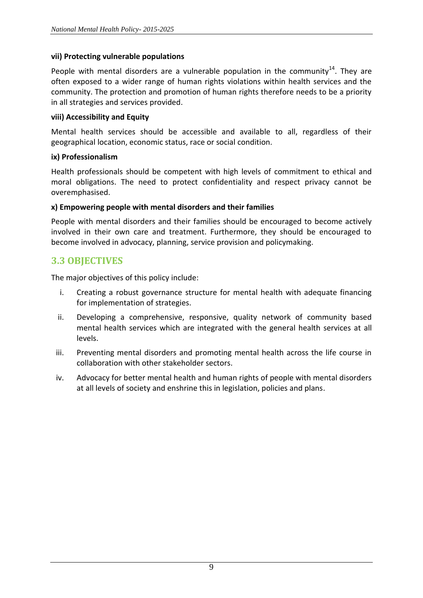#### **vii) Protecting vulnerable populations**

People with mental disorders are a vulnerable population in the community<sup>14</sup>. They are often exposed to a wider range of human rights violations within health services and the community. The protection and promotion of human rights therefore needs to be a priority in all strategies and services provided.

#### **viii) Accessibility and Equity**

Mental health services should be accessible and available to all, regardless of their geographical location, economic status, race or social condition.

#### **ix) Professionalism**

Health professionals should be competent with high levels of commitment to ethical and moral obligations. The need to protect confidentiality and respect privacy cannot be overemphasised.

#### **x) Empowering people with mental disorders and their families**

People with mental disorders and their families should be encouraged to become actively involved in their own care and treatment. Furthermore, they should be encouraged to become involved in advocacy, planning, service provision and policymaking.

## <span id="page-15-0"></span>**3.3 OBJECTIVES**

The major objectives of this policy include:

- i. Creating a robust governance structure for mental health with adequate financing for implementation of strategies.
- ii. Developing a comprehensive, responsive, quality network of community based mental health services which are integrated with the general health services at all levels.
- iii. Preventing mental disorders and promoting mental health across the life course in collaboration with other stakeholder sectors.
- iv. Advocacy for better mental health and human rights of people with mental disorders at all levels of society and enshrine this in legislation, policies and plans.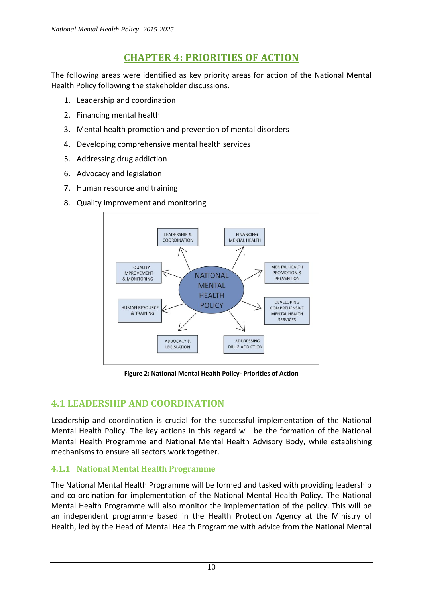# **CHAPTER 4: PRIORITIES OF ACTION**

<span id="page-16-0"></span>The following areas were identified as key priority areas for action of the National Mental Health Policy following the stakeholder discussions.

- 1. Leadership and coordination
- 2. Financing mental health
- 3. Mental health promotion and prevention of mental disorders
- 4. Developing comprehensive mental health services
- 5. Addressing drug addiction
- 6. Advocacy and legislation
- 7. Human resource and training
- 8. Quality improvement and monitoring



**Figure 2: National Mental Health Policy- Priorities of Action**

# <span id="page-16-1"></span>**4.1 LEADERSHIP AND COORDINATION**

Leadership and coordination is crucial for the successful implementation of the National Mental Health Policy. The key actions in this regard will be the formation of the National Mental Health Programme and National Mental Health Advisory Body, while establishing mechanisms to ensure all sectors work together.

## **4.1.1 National Mental Health Programme**

The National Mental Health Programme will be formed and tasked with providing leadership and co-ordination for implementation of the National Mental Health Policy. The National Mental Health Programme will also monitor the implementation of the policy. This will be an independent programme based in the Health Protection Agency at the Ministry of Health, led by the Head of Mental Health Programme with advice from the National Mental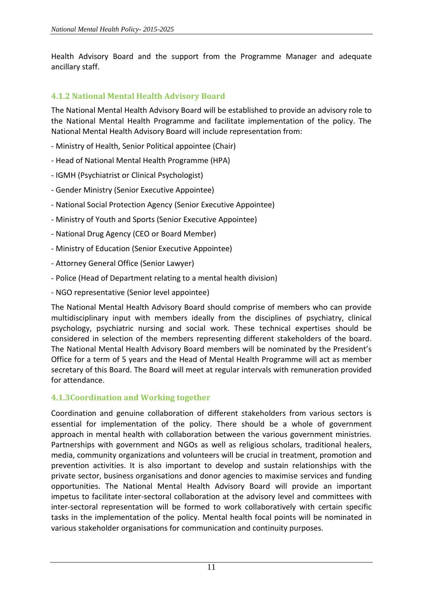Health Advisory Board and the support from the Programme Manager and adequate ancillary staff.

## **4.1.2 National Mental Health Advisory Board**

The National Mental Health Advisory Board will be established to provide an advisory role to the National Mental Health Programme and facilitate implementation of the policy. The National Mental Health Advisory Board will include representation from:

- Ministry of Health, Senior Political appointee (Chair)
- Head of National Mental Health Programme (HPA)
- IGMH (Psychiatrist or Clinical Psychologist)
- Gender Ministry (Senior Executive Appointee)
- National Social Protection Agency (Senior Executive Appointee)
- Ministry of Youth and Sports (Senior Executive Appointee)
- National Drug Agency (CEO or Board Member)
- Ministry of Education (Senior Executive Appointee)
- Attorney General Office (Senior Lawyer)
- Police (Head of Department relating to a mental health division)
- NGO representative (Senior level appointee)

The National Mental Health Advisory Board should comprise of members who can provide multidisciplinary input with members ideally from the disciplines of psychiatry, clinical psychology, psychiatric nursing and social work. These technical expertises should be considered in selection of the members representing different stakeholders of the board. The National Mental Health Advisory Board members will be nominated by the President's Office for a term of 5 years and the Head of Mental Health Programme will act as member secretary of this Board. The Board will meet at regular intervals with remuneration provided for attendance.

#### **4.1.3Coordination and Working together**

Coordination and genuine collaboration of different stakeholders from various sectors is essential for implementation of the policy. There should be a whole of government approach in mental health with collaboration between the various government ministries. Partnerships with government and NGOs as well as religious scholars, traditional healers, media, community organizations and volunteers will be crucial in treatment, promotion and prevention activities. It is also important to develop and sustain relationships with the private sector, business organisations and donor agencies to maximise services and funding opportunities. The National Mental Health Advisory Board will provide an important impetus to facilitate inter-sectoral collaboration at the advisory level and committees with inter-sectoral representation will be formed to work collaboratively with certain specific tasks in the implementation of the policy. Mental health focal points will be nominated in various stakeholder organisations for communication and continuity purposes.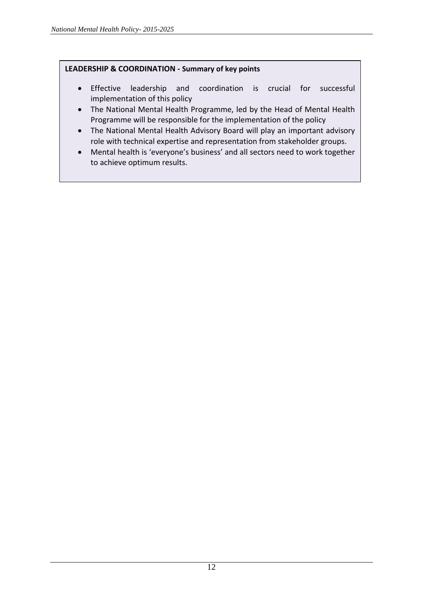#### **LEADERSHIP & COORDINATION - Summary of key points**

- Effective leadership and coordination is crucial for successful implementation of this policy
- The National Mental Health Programme, led by the Head of Mental Health Programme will be responsible for the implementation of the policy
- The National Mental Health Advisory Board will play an important advisory role with technical expertise and representation from stakeholder groups.
- Mental health is 'everyone's business' and all sectors need to work together to achieve optimum results.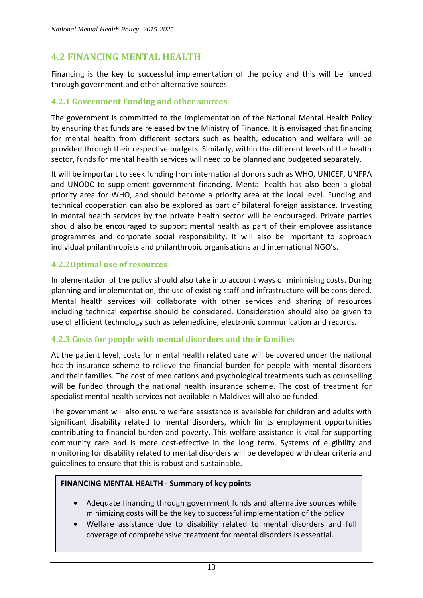# <span id="page-19-0"></span>**4.2 FINANCING MENTAL HEALTH**

Financing is the key to successful implementation of the policy and this will be funded through government and other alternative sources.

#### **4.2.1 Government Funding and other sources**

The government is committed to the implementation of the National Mental Health Policy by ensuring that funds are released by the Ministry of Finance. It is envisaged that financing for mental health from different sectors such as health, education and welfare will be provided through their respective budgets. Similarly, within the different levels of the health sector, funds for mental health services will need to be planned and budgeted separately.

It will be important to seek funding from international donors such as WHO, UNICEF, UNFPA and UNODC to supplement government financing. Mental health has also been a global priority area for WHO, and should become a priority area at the local level. Funding and technical cooperation can also be explored as part of bilateral foreign assistance. Investing in mental health services by the private health sector will be encouraged. Private parties should also be encouraged to support mental health as part of their employee assistance programmes and corporate social responsibility. It will also be important to approach individual philanthropists and philanthropic organisations and international NGO's.

## **4.2.2Optimal use of resources**

Implementation of the policy should also take into account ways of minimising costs. During planning and implementation, the use of existing staff and infrastructure will be considered. Mental health services will collaborate with other services and sharing of resources including technical expertise should be considered. Consideration should also be given to use of efficient technology such as telemedicine, electronic communication and records.

#### **4.2.3 Costs for people with mental disorders and their families**

At the patient level, costs for mental health related care will be covered under the national health insurance scheme to relieve the financial burden for people with mental disorders and their families. The cost of medications and psychological treatments such as counselling will be funded through the national health insurance scheme. The cost of treatment for specialist mental health services not available in Maldives will also be funded.

The government will also ensure welfare assistance is available for children and adults with significant disability related to mental disorders, which limits employment opportunities contributing to financial burden and poverty. This welfare assistance is vital for supporting community care and is more cost-effective in the long term. Systems of eligibility and monitoring for disability related to mental disorders will be developed with clear criteria and guidelines to ensure that this is robust and sustainable.

#### **FINANCING MENTAL HEALTH - Summary of key points**

- Adequate financing through government funds and alternative sources while minimizing costs will be the key to successful implementation of the policy
- Welfare assistance due to disability related to mental disorders and full coverage of comprehensive treatment for mental disorders is essential.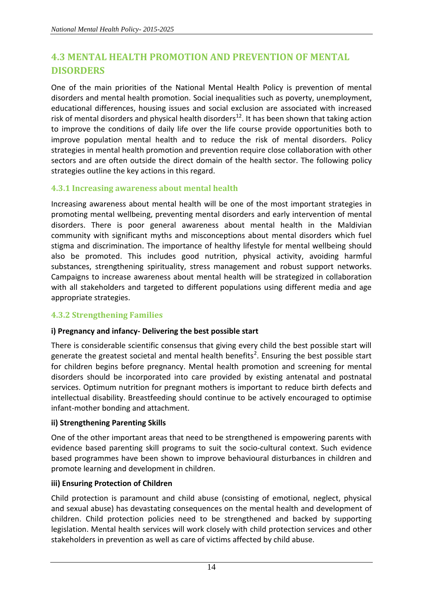# <span id="page-20-0"></span>**4.3 MENTAL HEALTH PROMOTION AND PREVENTION OF MENTAL DISORDERS**

One of the main priorities of the National Mental Health Policy is prevention of mental disorders and mental health promotion. Social inequalities such as poverty, unemployment, educational differences, housing issues and social exclusion are associated with increased risk of mental disorders and physical health disorders<sup>12</sup>. It has been shown that taking action to improve the conditions of daily life over the life course provide opportunities both to improve population mental health and to reduce the risk of mental disorders. Policy strategies in mental health promotion and prevention require close collaboration with other sectors and are often outside the direct domain of the health sector. The following policy strategies outline the key actions in this regard.

## **4.3.1 Increasing awareness about mental health**

Increasing awareness about mental health will be one of the most important strategies in promoting mental wellbeing, preventing mental disorders and early intervention of mental disorders. There is poor general awareness about mental health in the Maldivian community with significant myths and misconceptions about mental disorders which fuel stigma and discrimination. The importance of healthy lifestyle for mental wellbeing should also be promoted. This includes good nutrition, physical activity, avoiding harmful substances, strengthening spirituality, stress management and robust support networks. Campaigns to increase awareness about mental health will be strategized in collaboration with all stakeholders and targeted to different populations using different media and age appropriate strategies.

## **4.3.2 Strengthening Families**

#### **i) Pregnancy and infancy- Delivering the best possible start**

There is considerable scientific consensus that giving every child the best possible start will generate the greatest societal and mental health benefits<sup>2</sup>. Ensuring the best possible start for children begins before pregnancy. Mental health promotion and screening for mental disorders should be incorporated into care provided by existing antenatal and postnatal services. Optimum nutrition for pregnant mothers is important to reduce birth defects and intellectual disability. Breastfeeding should continue to be actively encouraged to optimise infant-mother bonding and attachment.

#### **ii) Strengthening Parenting Skills**

One of the other important areas that need to be strengthened is empowering parents with evidence based parenting skill programs to suit the socio-cultural context. Such evidence based programmes have been shown to improve behavioural disturbances in children and promote learning and development in children.

#### **iii) Ensuring Protection of Children**

Child protection is paramount and child abuse (consisting of emotional, neglect, physical and sexual abuse) has devastating consequences on the mental health and development of children. Child protection policies need to be strengthened and backed by supporting legislation. Mental health services will work closely with child protection services and other stakeholders in prevention as well as care of victims affected by child abuse.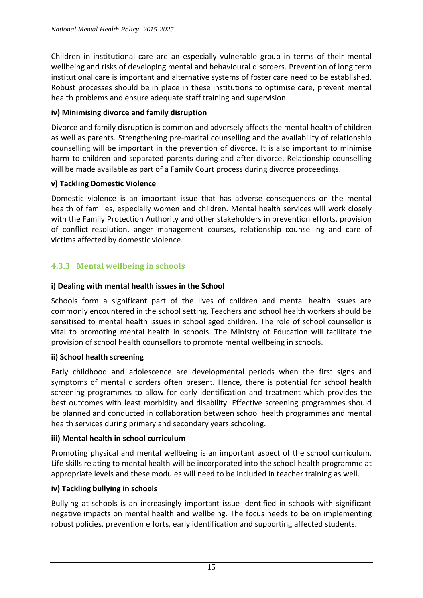Children in institutional care are an especially vulnerable group in terms of their mental wellbeing and risks of developing mental and behavioural disorders. Prevention of long term institutional care is important and alternative systems of foster care need to be established. Robust processes should be in place in these institutions to optimise care, prevent mental health problems and ensure adequate staff training and supervision.

#### **iv) Minimising divorce and family disruption**

Divorce and family disruption is common and adversely affects the mental health of children as well as parents. Strengthening pre-marital counselling and the availability of relationship counselling will be important in the prevention of divorce. It is also important to minimise harm to children and separated parents during and after divorce. Relationship counselling will be made available as part of a Family Court process during divorce proceedings.

#### **v) Tackling Domestic Violence**

Domestic violence is an important issue that has adverse consequences on the mental health of families, especially women and children. Mental health services will work closely with the Family Protection Authority and other stakeholders in prevention efforts, provision of conflict resolution, anger management courses, relationship counselling and care of victims affected by domestic violence.

## **4.3.3 Mental wellbeing in schools**

#### **i) Dealing with mental health issues in the School**

Schools form a significant part of the lives of children and mental health issues are commonly encountered in the school setting. Teachers and school health workers should be sensitised to mental health issues in school aged children. The role of school counsellor is vital to promoting mental health in schools. The Ministry of Education will facilitate the provision of school health counsellors to promote mental wellbeing in schools.

#### **ii) School health screening**

Early childhood and adolescence are developmental periods when the first signs and symptoms of mental disorders often present. Hence, there is potential for school health screening programmes to allow for early identification and treatment which provides the best outcomes with least morbidity and disability. Effective screening programmes should be planned and conducted in collaboration between school health programmes and mental health services during primary and secondary years schooling.

#### **iii) Mental health in school curriculum**

Promoting physical and mental wellbeing is an important aspect of the school curriculum. Life skills relating to mental health will be incorporated into the school health programme at appropriate levels and these modules will need to be included in teacher training as well.

#### **iv) Tackling bullying in schools**

Bullying at schools is an increasingly important issue identified in schools with significant negative impacts on mental health and wellbeing. The focus needs to be on implementing robust policies, prevention efforts, early identification and supporting affected students.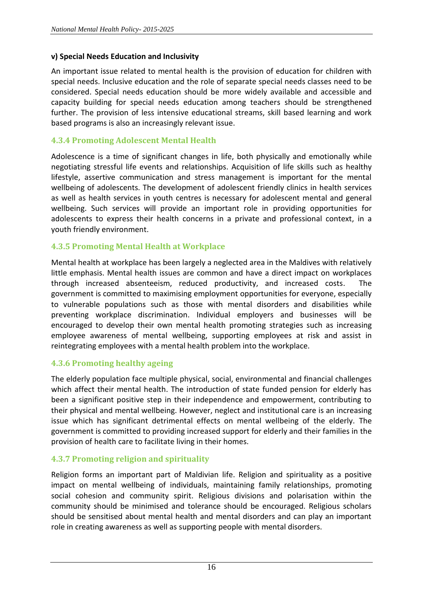#### **v) Special Needs Education and Inclusivity**

An important issue related to mental health is the provision of education for children with special needs. Inclusive education and the role of separate special needs classes need to be considered. Special needs education should be more widely available and accessible and capacity building for special needs education among teachers should be strengthened further. The provision of less intensive educational streams, skill based learning and work based programs is also an increasingly relevant issue.

#### **4.3.4 Promoting Adolescent Mental Health**

Adolescence is a time of significant changes in life, both physically and emotionally while negotiating stressful life events and relationships. Acquisition of life skills such as healthy lifestyle, assertive communication and stress management is important for the mental wellbeing of adolescents. The development of adolescent friendly clinics in health services as well as health services in youth centres is necessary for adolescent mental and general wellbeing. Such services will provide an important role in providing opportunities for adolescents to express their health concerns in a private and professional context, in a youth friendly environment.

#### **4.3.5 Promoting Mental Health at Workplace**

Mental health at workplace has been largely a neglected area in the Maldives with relatively little emphasis. Mental health issues are common and have a direct impact on workplaces through increased absenteeism, reduced productivity, and increased costs. The government is committed to maximising employment opportunities for everyone, especially to vulnerable populations such as those with mental disorders and disabilities while preventing workplace discrimination. Individual employers and businesses will be encouraged to develop their own mental health promoting strategies such as increasing employee awareness of mental wellbeing, supporting employees at risk and assist in reintegrating employees with a mental health problem into the workplace.

#### **4.3.6 Promoting healthy ageing**

The elderly population face multiple physical, social, environmental and financial challenges which affect their mental health. The introduction of state funded pension for elderly has been a significant positive step in their independence and empowerment, contributing to their physical and mental wellbeing. However, neglect and institutional care is an increasing issue which has significant detrimental effects on mental wellbeing of the elderly. The government is committed to providing increased support for elderly and their families in the provision of health care to facilitate living in their homes.

#### **4.3.7 Promoting religion and spirituality**

Religion forms an important part of Maldivian life. Religion and spirituality as a positive impact on mental wellbeing of individuals, maintaining family relationships, promoting social cohesion and community spirit. Religious divisions and polarisation within the community should be minimised and tolerance should be encouraged. Religious scholars should be sensitised about mental health and mental disorders and can play an important role in creating awareness as well as supporting people with mental disorders.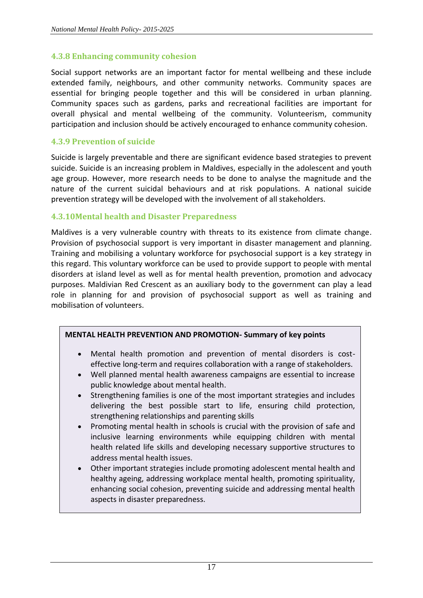#### **4.3.8 Enhancing community cohesion**

Social support networks are an important factor for mental wellbeing and these include extended family, neighbours, and other community networks. Community spaces are essential for bringing people together and this will be considered in urban planning. Community spaces such as gardens, parks and recreational facilities are important for overall physical and mental wellbeing of the community. Volunteerism, community participation and inclusion should be actively encouraged to enhance community cohesion.

#### **4.3.9 Prevention of suicide**

Suicide is largely preventable and there are significant evidence based strategies to prevent suicide. Suicide is an increasing problem in Maldives, especially in the adolescent and youth age group. However, more research needs to be done to analyse the magnitude and the nature of the current suicidal behaviours and at risk populations. A national suicide prevention strategy will be developed with the involvement of all stakeholders.

#### **4.3.10Mental health and Disaster Preparedness**

Maldives is a very vulnerable country with threats to its existence from climate change. Provision of psychosocial support is very important in disaster management and planning. Training and mobilising a voluntary workforce for psychosocial support is a key strategy in this regard. This voluntary workforce can be used to provide support to people with mental disorders at island level as well as for mental health prevention, promotion and advocacy purposes. Maldivian Red Crescent as an auxiliary body to the government can play a lead role in planning for and provision of psychosocial support as well as training and mobilisation of volunteers.

#### **MENTAL HEALTH PREVENTION AND PROMOTION- Summary of key points**

- Mental health promotion and prevention of mental disorders is costeffective long-term and requires collaboration with a range of stakeholders.
- Well planned mental health awareness campaigns are essential to increase public knowledge about mental health.
- Strengthening families is one of the most important strategies and includes delivering the best possible start to life, ensuring child protection, strengthening relationships and parenting skills
- Promoting mental health in schools is crucial with the provision of safe and inclusive learning environments while equipping children with mental health related life skills and developing necessary supportive structures to address mental health issues.
- Other important strategies include promoting adolescent mental health and healthy ageing, addressing workplace mental health, promoting spirituality, enhancing social cohesion, preventing suicide and addressing mental health aspects in disaster preparedness.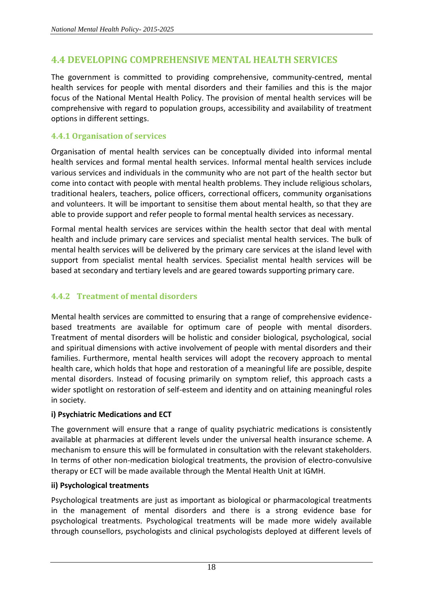# <span id="page-24-0"></span>**4.4 DEVELOPING COMPREHENSIVE MENTAL HEALTH SERVICES**

The government is committed to providing comprehensive, community-centred, mental health services for people with mental disorders and their families and this is the major focus of the National Mental Health Policy. The provision of mental health services will be comprehensive with regard to population groups, accessibility and availability of treatment options in different settings.

## **4.4.1 Organisation of services**

Organisation of mental health services can be conceptually divided into informal mental health services and formal mental health services. Informal mental health services include various services and individuals in the community who are not part of the health sector but come into contact with people with mental health problems. They include religious scholars, traditional healers, teachers, police officers, correctional officers, community organisations and volunteers. It will be important to sensitise them about mental health, so that they are able to provide support and refer people to formal mental health services as necessary.

Formal mental health services are services within the health sector that deal with mental health and include primary care services and specialist mental health services. The bulk of mental health services will be delivered by the primary care services at the island level with support from specialist mental health services. Specialist mental health services will be based at secondary and tertiary levels and are geared towards supporting primary care.

## **4.4.2 Treatment of mental disorders**

Mental health services are committed to ensuring that a range of comprehensive evidencebased treatments are available for optimum care of people with mental disorders. Treatment of mental disorders will be holistic and consider biological, psychological, social and spiritual dimensions with active involvement of people with mental disorders and their families. Furthermore, mental health services will adopt the recovery approach to mental health care, which holds that hope and restoration of a meaningful life are possible, despite mental disorders. Instead of focusing primarily on symptom relief, this approach casts a wider spotlight on restoration of self-esteem and identity and on attaining meaningful roles in society.

#### **i) Psychiatric Medications and ECT**

The government will ensure that a range of quality psychiatric medications is consistently available at pharmacies at different levels under the universal health insurance scheme. A mechanism to ensure this will be formulated in consultation with the relevant stakeholders. In terms of other non-medication biological treatments, the provision of electro-convulsive therapy or ECT will be made available through the Mental Health Unit at IGMH.

#### **ii) Psychological treatments**

Psychological treatments are just as important as biological or pharmacological treatments in the management of mental disorders and there is a strong evidence base for psychological treatments. Psychological treatments will be made more widely available through counsellors, psychologists and clinical psychologists deployed at different levels of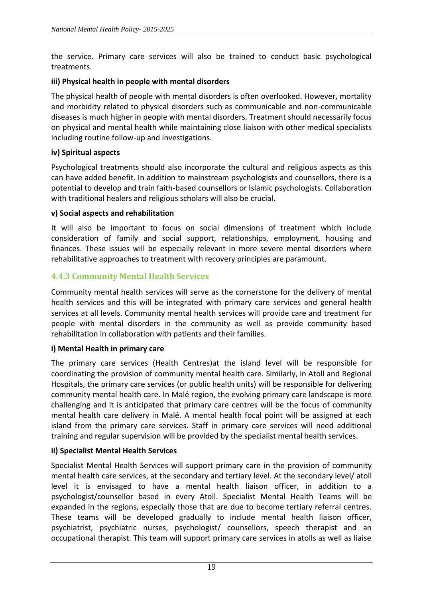the service. Primary care services will also be trained to conduct basic psychological treatments.

#### **iii) Physical health in people with mental disorders**

The physical health of people with mental disorders is often overlooked. However, mortality and morbidity related to physical disorders such as communicable and non-communicable diseases is much higher in people with mental disorders. Treatment should necessarily focus on physical and mental health while maintaining close liaison with other medical specialists including routine follow-up and investigations.

#### **iv) Spiritual aspects**

Psychological treatments should also incorporate the cultural and religious aspects as this can have added benefit. In addition to mainstream psychologists and counsellors, there is a potential to develop and train faith-based counsellors or Islamic psychologists. Collaboration with traditional healers and religious scholars will also be crucial.

#### **v) Social aspects and rehabilitation**

It will also be important to focus on social dimensions of treatment which include consideration of family and social support, relationships, employment, housing and finances. These issues will be especially relevant in more severe mental disorders where rehabilitative approaches to treatment with recovery principles are paramount.

## **4.4.3 Community Mental Health Services**

Community mental health services will serve as the cornerstone for the delivery of mental health services and this will be integrated with primary care services and general health services at all levels. Community mental health services will provide care and treatment for people with mental disorders in the community as well as provide community based rehabilitation in collaboration with patients and their families.

#### **i) Mental Health in primary care**

The primary care services (Health Centres)at the island level will be responsible for coordinating the provision of community mental health care. Similarly, in Atoll and Regional Hospitals, the primary care services (or public health units) will be responsible for delivering community mental health care. In Malé region, the evolving primary care landscape is more challenging and it is anticipated that primary care centres will be the focus of community mental health care delivery in Malé. A mental health focal point will be assigned at each island from the primary care services. Staff in primary care services will need additional training and regular supervision will be provided by the specialist mental health services.

#### **ii) Specialist Mental Health Services**

Specialist Mental Health Services will support primary care in the provision of community mental health care services, at the secondary and tertiary level. At the secondary level/ atoll level it is envisaged to have a mental health liaison officer, in addition to a psychologist/counsellor based in every Atoll. Specialist Mental Health Teams will be expanded in the regions, especially those that are due to become tertiary referral centres. These teams will be developed gradually to include mental health liaison officer, psychiatrist, psychiatric nurses, psychologist/ counsellors, speech therapist and an occupational therapist. This team will support primary care services in atolls as well as liaise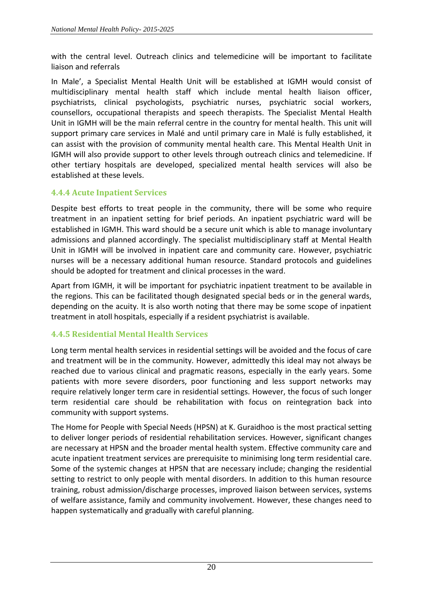with the central level. Outreach clinics and telemedicine will be important to facilitate liaison and referrals

In Male', a Specialist Mental Health Unit will be established at IGMH would consist of multidisciplinary mental health staff which include mental health liaison officer, psychiatrists, clinical psychologists, psychiatric nurses, psychiatric social workers, counsellors, occupational therapists and speech therapists. The Specialist Mental Health Unit in IGMH will be the main referral centre in the country for mental health. This unit will support primary care services in Malé and until primary care in Malé is fully established, it can assist with the provision of community mental health care. This Mental Health Unit in IGMH will also provide support to other levels through outreach clinics and telemedicine. If other tertiary hospitals are developed, specialized mental health services will also be established at these levels.

## **4.4.4 Acute Inpatient Services**

Despite best efforts to treat people in the community, there will be some who require treatment in an inpatient setting for brief periods. An inpatient psychiatric ward will be established in IGMH. This ward should be a secure unit which is able to manage involuntary admissions and planned accordingly. The specialist multidisciplinary staff at Mental Health Unit in IGMH will be involved in inpatient care and community care. However, psychiatric nurses will be a necessary additional human resource. Standard protocols and guidelines should be adopted for treatment and clinical processes in the ward.

Apart from IGMH, it will be important for psychiatric inpatient treatment to be available in the regions. This can be facilitated though designated special beds or in the general wards, depending on the acuity. It is also worth noting that there may be some scope of inpatient treatment in atoll hospitals, especially if a resident psychiatrist is available.

## **4.4.5 Residential Mental Health Services**

Long term mental health services in residential settings will be avoided and the focus of care and treatment will be in the community. However, admittedly this ideal may not always be reached due to various clinical and pragmatic reasons, especially in the early years. Some patients with more severe disorders, poor functioning and less support networks may require relatively longer term care in residential settings. However, the focus of such longer term residential care should be rehabilitation with focus on reintegration back into community with support systems.

The Home for People with Special Needs (HPSN) at K. Guraidhoo is the most practical setting to deliver longer periods of residential rehabilitation services. However, significant changes are necessary at HPSN and the broader mental health system. Effective community care and acute inpatient treatment services are prerequisite to minimising long term residential care. Some of the systemic changes at HPSN that are necessary include; changing the residential setting to restrict to only people with mental disorders. In addition to this human resource training, robust admission/discharge processes, improved liaison between services, systems of welfare assistance, family and community involvement. However, these changes need to happen systematically and gradually with careful planning.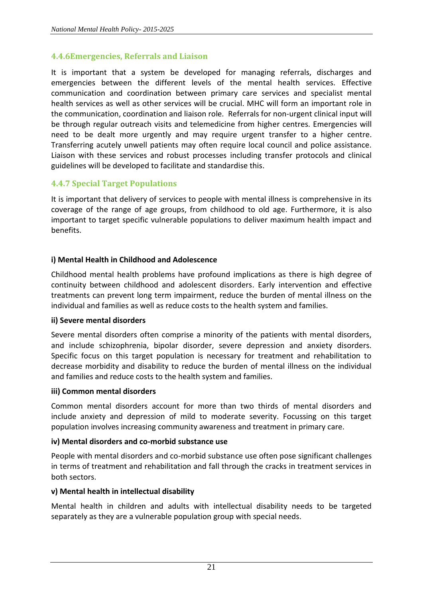#### **4.4.6Emergencies, Referrals and Liaison**

It is important that a system be developed for managing referrals, discharges and emergencies between the different levels of the mental health services. Effective communication and coordination between primary care services and specialist mental health services as well as other services will be crucial. MHC will form an important role in the communication, coordination and liaison role. Referrals for non-urgent clinical input will be through regular outreach visits and telemedicine from higher centres. Emergencies will need to be dealt more urgently and may require urgent transfer to a higher centre. Transferring acutely unwell patients may often require local council and police assistance. Liaison with these services and robust processes including transfer protocols and clinical guidelines will be developed to facilitate and standardise this.

## **4.4.7 Special Target Populations**

It is important that delivery of services to people with mental illness is comprehensive in its coverage of the range of age groups, from childhood to old age. Furthermore, it is also important to target specific vulnerable populations to deliver maximum health impact and benefits.

#### **i) Mental Health in Childhood and Adolescence**

Childhood mental health problems have profound implications as there is high degree of continuity between childhood and adolescent disorders. Early intervention and effective treatments can prevent long term impairment, reduce the burden of mental illness on the individual and families as well as reduce costs to the health system and families.

#### **ii) Severe mental disorders**

Severe mental disorders often comprise a minority of the patients with mental disorders, and include schizophrenia, bipolar disorder, severe depression and anxiety disorders. Specific focus on this target population is necessary for treatment and rehabilitation to decrease morbidity and disability to reduce the burden of mental illness on the individual and families and reduce costs to the health system and families.

#### **iii) Common mental disorders**

Common mental disorders account for more than two thirds of mental disorders and include anxiety and depression of mild to moderate severity. Focussing on this target population involves increasing community awareness and treatment in primary care.

#### **iv) Mental disorders and co-morbid substance use**

People with mental disorders and co-morbid substance use often pose significant challenges in terms of treatment and rehabilitation and fall through the cracks in treatment services in both sectors.

#### **v) Mental health in intellectual disability**

Mental health in children and adults with intellectual disability needs to be targeted separately as they are a vulnerable population group with special needs.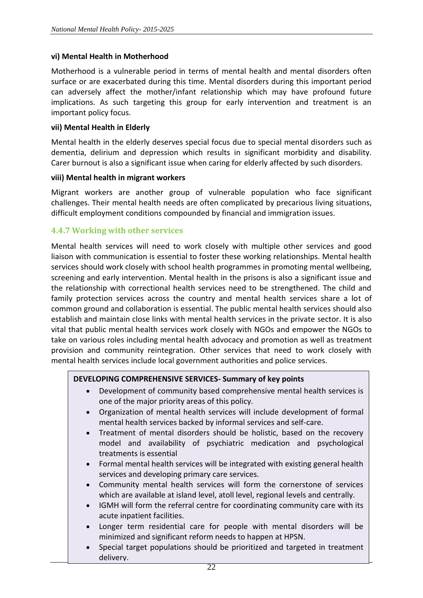#### **vi) Mental Health in Motherhood**

Motherhood is a vulnerable period in terms of mental health and mental disorders often surface or are exacerbated during this time. Mental disorders during this important period can adversely affect the mother/infant relationship which may have profound future implications. As such targeting this group for early intervention and treatment is an important policy focus.

#### **vii) Mental Health in Elderly**

Mental health in the elderly deserves special focus due to special mental disorders such as dementia, delirium and depression which results in significant morbidity and disability. Carer burnout is also a significant issue when caring for elderly affected by such disorders.

#### **viii) Mental health in migrant workers**

Migrant workers are another group of vulnerable population who face significant challenges. Their mental health needs are often complicated by precarious living situations, difficult employment conditions compounded by financial and immigration issues.

#### **4.4.7 Working with other services**

Mental health services will need to work closely with multiple other services and good liaison with communication is essential to foster these working relationships. Mental health services should work closely with school health programmes in promoting mental wellbeing, screening and early intervention. Mental health in the prisons is also a significant issue and the relationship with correctional health services need to be strengthened. The child and family protection services across the country and mental health services share a lot of common ground and collaboration is essential. The public mental health services should also establish and maintain close links with mental health services in the private sector. It is also vital that public mental health services work closely with NGOs and empower the NGOs to take on various roles including mental health advocacy and promotion as well as treatment provision and community reintegration. Other services that need to work closely with mental health services include local government authorities and police services.

#### **DEVELOPING COMPREHENSIVE SERVICES- Summary of key points**

- Development of community based comprehensive mental health services is one of the major priority areas of this policy.
- Organization of mental health services will include development of formal mental health services backed by informal services and self-care.
- Treatment of mental disorders should be holistic, based on the recovery model and availability of psychiatric medication and psychological treatments is essential
- Formal mental health services will be integrated with existing general health services and developing primary care services.
- Community mental health services will form the cornerstone of services which are available at island level, atoll level, regional levels and centrally.
- IGMH will form the referral centre for coordinating community care with its acute inpatient facilities.
- Longer term residential care for people with mental disorders will be minimized and significant reform needs to happen at HPSN.
- Special target populations should be prioritized and targeted in treatment delivery.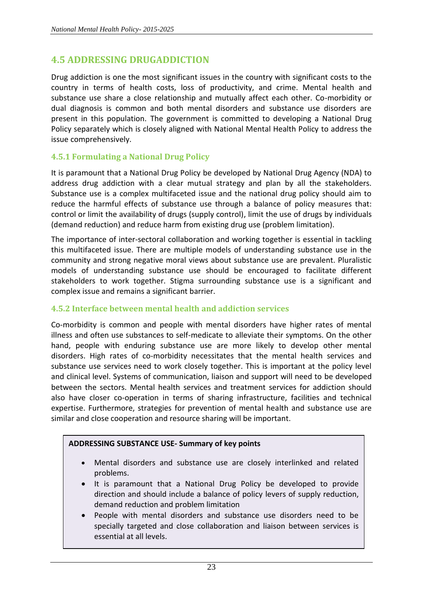# <span id="page-29-0"></span>**4.5 ADDRESSING DRUGADDICTION**

Drug addiction is one the most significant issues in the country with significant costs to the country in terms of health costs, loss of productivity, and crime. Mental health and substance use share a close relationship and mutually affect each other. Co-morbidity or dual diagnosis is common and both mental disorders and substance use disorders are present in this population. The government is committed to developing a National Drug Policy separately which is closely aligned with National Mental Health Policy to address the issue comprehensively.

#### **4.5.1 Formulating a National Drug Policy**

It is paramount that a National Drug Policy be developed by National Drug Agency (NDA) to address drug addiction with a clear mutual strategy and plan by all the stakeholders. Substance use is a complex multifaceted issue and the national drug policy should aim to reduce the harmful effects of substance use through a balance of policy measures that: control or limit the availability of drugs (supply control), limit the use of drugs by individuals (demand reduction) and reduce harm from existing drug use (problem limitation).

The importance of inter-sectoral collaboration and working together is essential in tackling this multifaceted issue. There are multiple models of understanding substance use in the community and strong negative moral views about substance use are prevalent. Pluralistic models of understanding substance use should be encouraged to facilitate different stakeholders to work together. Stigma surrounding substance use is a significant and complex issue and remains a significant barrier.

#### **4.5.2 Interface between mental health and addiction services**

Co-morbidity is common and people with mental disorders have higher rates of mental illness and often use substances to self-medicate to alleviate their symptoms. On the other hand, people with enduring substance use are more likely to develop other mental disorders. High rates of co-morbidity necessitates that the mental health services and substance use services need to work closely together. This is important at the policy level and clinical level. Systems of communication, liaison and support will need to be developed between the sectors. Mental health services and treatment services for addiction should also have closer co-operation in terms of sharing infrastructure, facilities and technical expertise. Furthermore, strategies for prevention of mental health and substance use are similar and close cooperation and resource sharing will be important.

#### **ADDRESSING SUBSTANCE USE- Summary of key points**

- Mental disorders and substance use are closely interlinked and related problems.
- It is paramount that a National Drug Policy be developed to provide direction and should include a balance of policy levers of supply reduction, demand reduction and problem limitation
- People with mental disorders and substance use disorders need to be specially targeted and close collaboration and liaison between services is essential at all levels.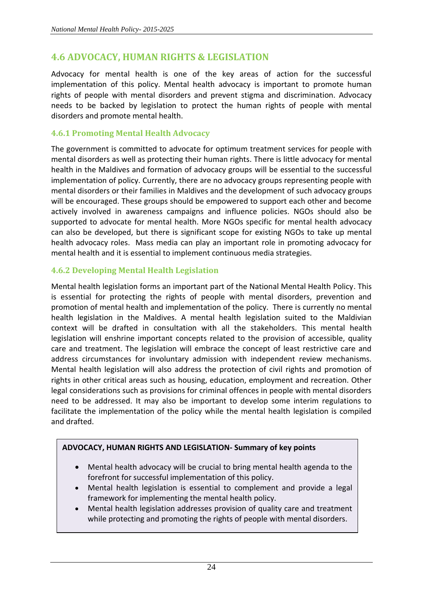# <span id="page-30-0"></span>**4.6 ADVOCACY, HUMAN RIGHTS & LEGISLATION**

Advocacy for mental health is one of the key areas of action for the successful implementation of this policy. Mental health advocacy is important to promote human rights of people with mental disorders and prevent stigma and discrimination. Advocacy needs to be backed by legislation to protect the human rights of people with mental disorders and promote mental health.

#### **4.6.1 Promoting Mental Health Advocacy**

The government is committed to advocate for optimum treatment services for people with mental disorders as well as protecting their human rights. There is little advocacy for mental health in the Maldives and formation of advocacy groups will be essential to the successful implementation of policy. Currently, there are no advocacy groups representing people with mental disorders or their families in Maldives and the development of such advocacy groups will be encouraged. These groups should be empowered to support each other and become actively involved in awareness campaigns and influence policies. NGOs should also be supported to advocate for mental health. More NGOs specific for mental health advocacy can also be developed, but there is significant scope for existing NGOs to take up mental health advocacy roles. Mass media can play an important role in promoting advocacy for mental health and it is essential to implement continuous media strategies.

## **4.6.2 Developing Mental Health Legislation**

Mental health legislation forms an important part of the National Mental Health Policy. This is essential for protecting the rights of people with mental disorders, prevention and promotion of mental health and implementation of the policy. There is currently no mental health legislation in the Maldives. A mental health legislation suited to the Maldivian context will be drafted in consultation with all the stakeholders. This mental health legislation will enshrine important concepts related to the provision of accessible, quality care and treatment. The legislation will embrace the concept of least restrictive care and address circumstances for involuntary admission with independent review mechanisms. Mental health legislation will also address the protection of civil rights and promotion of rights in other critical areas such as housing, education, employment and recreation. Other legal considerations such as provisions for criminal offences in people with mental disorders need to be addressed. It may also be important to develop some interim regulations to facilitate the implementation of the policy while the mental health legislation is compiled and drafted.

#### **ADVOCACY, HUMAN RIGHTS AND LEGISLATION- Summary of key points**

- Mental health advocacy will be crucial to bring mental health agenda to the forefront for successful implementation of this policy.
- Mental health legislation is essential to complement and provide a legal framework for implementing the mental health policy.
- Mental health legislation addresses provision of quality care and treatment while protecting and promoting the rights of people with mental disorders.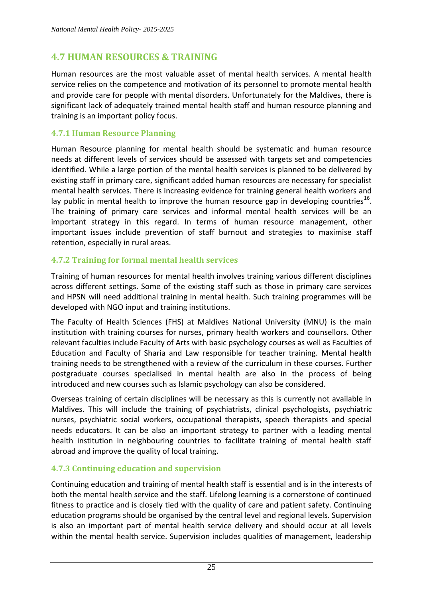# <span id="page-31-0"></span>**4.7 HUMAN RESOURCES & TRAINING**

Human resources are the most valuable asset of mental health services. A mental health service relies on the competence and motivation of its personnel to promote mental health and provide care for people with mental disorders. Unfortunately for the Maldives, there is significant lack of adequately trained mental health staff and human resource planning and training is an important policy focus.

## **4.7.1 Human Resource Planning**

Human Resource planning for mental health should be systematic and human resource needs at different levels of services should be assessed with targets set and competencies identified. While a large portion of the mental health services is planned to be delivered by existing staff in primary care, significant added human resources are necessary for specialist mental health services. There is increasing evidence for training general health workers and lay public in mental health to improve the human resource gap in developing countries<sup>16</sup>. The training of primary care services and informal mental health services will be an important strategy in this regard. In terms of human resource management, other important issues include prevention of staff burnout and strategies to maximise staff retention, especially in rural areas.

## **4.7.2 Training for formal mental health services**

Training of human resources for mental health involves training various different disciplines across different settings. Some of the existing staff such as those in primary care services and HPSN will need additional training in mental health. Such training programmes will be developed with NGO input and training institutions.

The Faculty of Health Sciences (FHS) at Maldives National University (MNU) is the main institution with training courses for nurses, primary health workers and counsellors. Other relevant faculties include Faculty of Arts with basic psychology courses as well as Faculties of Education and Faculty of Sharia and Law responsible for teacher training. Mental health training needs to be strengthened with a review of the curriculum in these courses. Further postgraduate courses specialised in mental health are also in the process of being introduced and new courses such as Islamic psychology can also be considered.

Overseas training of certain disciplines will be necessary as this is currently not available in Maldives. This will include the training of psychiatrists, clinical psychologists, psychiatric nurses, psychiatric social workers, occupational therapists, speech therapists and special needs educators. It can be also an important strategy to partner with a leading mental health institution in neighbouring countries to facilitate training of mental health staff abroad and improve the quality of local training.

## **4.7.3 Continuing education and supervision**

Continuing education and training of mental health staff is essential and is in the interests of both the mental health service and the staff. Lifelong learning is a cornerstone of continued fitness to practice and is closely tied with the quality of care and patient safety. Continuing education programs should be organised by the central level and regional levels. Supervision is also an important part of mental health service delivery and should occur at all levels within the mental health service. Supervision includes qualities of management, leadership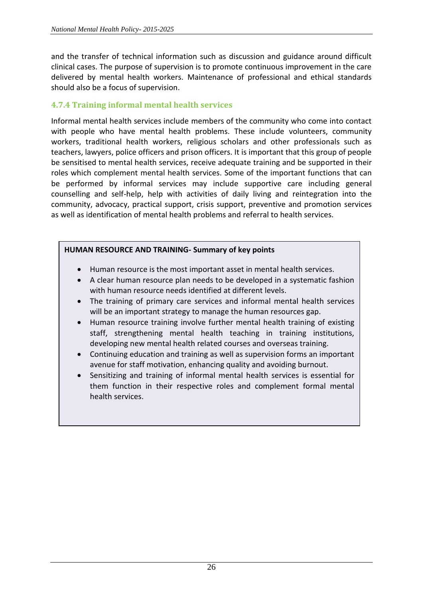and the transfer of technical information such as discussion and guidance around difficult clinical cases. The purpose of supervision is to promote continuous improvement in the care delivered by mental health workers. Maintenance of professional and ethical standards should also be a focus of supervision.

## **4.7.4 Training informal mental health services**

Informal mental health services include members of the community who come into contact with people who have mental health problems. These include volunteers, community workers, traditional health workers, religious scholars and other professionals such as teachers, lawyers, police officers and prison officers. It is important that this group of people be sensitised to mental health services, receive adequate training and be supported in their roles which complement mental health services. Some of the important functions that can be performed by informal services may include supportive care including general counselling and self-help, help with activities of daily living and reintegration into the community, advocacy, practical support, crisis support, preventive and promotion services as well as identification of mental health problems and referral to health services.

#### **HUMAN RESOURCE AND TRAINING- Summary of key points**

- Human resource is the most important asset in mental health services.
- A clear human resource plan needs to be developed in a systematic fashion with human resource needs identified at different levels.
- The training of primary care services and informal mental health services will be an important strategy to manage the human resources gap.
- Human resource training involve further mental health training of existing staff, strengthening mental health teaching in training institutions, developing new mental health related courses and overseas training.
- Continuing education and training as well as supervision forms an important avenue for staff motivation, enhancing quality and avoiding burnout.
- Sensitizing and training of informal mental health services is essential for them function in their respective roles and complement formal mental health services.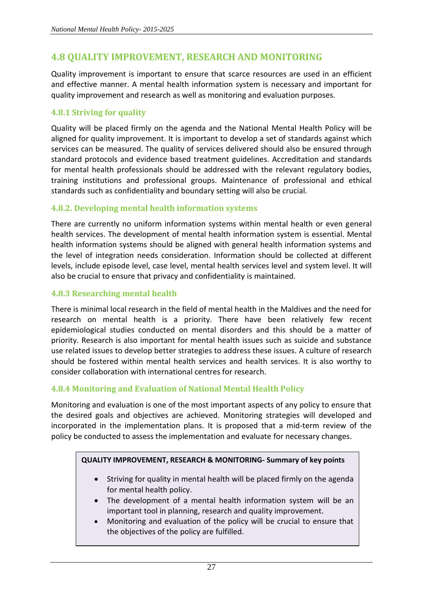# <span id="page-33-0"></span>**4.8 QUALITY IMPROVEMENT, RESEARCH AND MONITORING**

Quality improvement is important to ensure that scarce resources are used in an efficient and effective manner. A mental health information system is necessary and important for quality improvement and research as well as monitoring and evaluation purposes.

#### **4.8.1 Striving for quality**

Quality will be placed firmly on the agenda and the National Mental Health Policy will be aligned for quality improvement. It is important to develop a set of standards against which services can be measured. The quality of services delivered should also be ensured through standard protocols and evidence based treatment guidelines. Accreditation and standards for mental health professionals should be addressed with the relevant regulatory bodies, training institutions and professional groups. Maintenance of professional and ethical standards such as confidentiality and boundary setting will also be crucial.

## **4.8.2. Developing mental health information systems**

There are currently no uniform information systems within mental health or even general health services. The development of mental health information system is essential. Mental health information systems should be aligned with general health information systems and the level of integration needs consideration. Information should be collected at different levels, include episode level, case level, mental health services level and system level. It will also be crucial to ensure that privacy and confidentiality is maintained.

#### **4.8.3 Researching mental health**

There is minimal local research in the field of mental health in the Maldives and the need for research on mental health is a priority. There have been relatively few recent epidemiological studies conducted on mental disorders and this should be a matter of priority. Research is also important for mental health issues such as suicide and substance use related issues to develop better strategies to address these issues. A culture of research should be fostered within mental health services and health services. It is also worthy to consider collaboration with international centres for research.

## **4.8.4 Monitoring and Evaluation of National Mental Health Policy**

Monitoring and evaluation is one of the most important aspects of any policy to ensure that the desired goals and objectives are achieved. Monitoring strategies will developed and incorporated in the implementation plans. It is proposed that a mid-term review of the policy be conducted to assess the implementation and evaluate for necessary changes.

#### **QUALITY IMPROVEMENT, RESEARCH & MONITORING- Summary of key points**

- Striving for quality in mental health will be placed firmly on the agenda for mental health policy.
- The development of a mental health information system will be an important tool in planning, research and quality improvement.
- Monitoring and evaluation of the policy will be crucial to ensure that the objectives of the policy are fulfilled.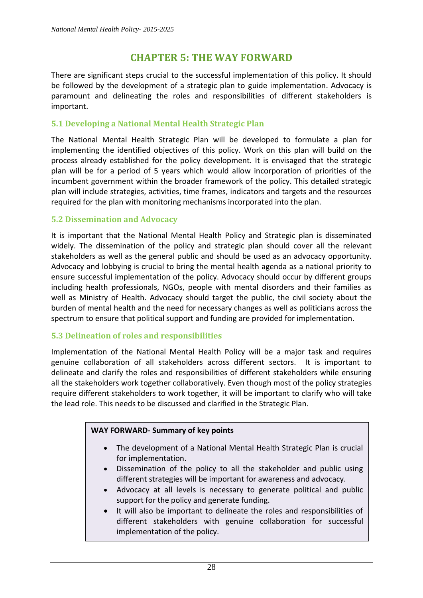# **CHAPTER 5: THE WAY FORWARD**

<span id="page-34-0"></span>There are significant steps crucial to the successful implementation of this policy. It should be followed by the development of a strategic plan to guide implementation. Advocacy is paramount and delineating the roles and responsibilities of different stakeholders is important.

#### **5.1 Developing a National Mental Health Strategic Plan**

The National Mental Health Strategic Plan will be developed to formulate a plan for implementing the identified objectives of this policy. Work on this plan will build on the process already established for the policy development. It is envisaged that the strategic plan will be for a period of 5 years which would allow incorporation of priorities of the incumbent government within the broader framework of the policy. This detailed strategic plan will include strategies, activities, time frames, indicators and targets and the resources required for the plan with monitoring mechanisms incorporated into the plan.

#### **5.2 Dissemination and Advocacy**

It is important that the National Mental Health Policy and Strategic plan is disseminated widely. The dissemination of the policy and strategic plan should cover all the relevant stakeholders as well as the general public and should be used as an advocacy opportunity. Advocacy and lobbying is crucial to bring the mental health agenda as a national priority to ensure successful implementation of the policy. Advocacy should occur by different groups including health professionals, NGOs, people with mental disorders and their families as well as Ministry of Health. Advocacy should target the public, the civil society about the burden of mental health and the need for necessary changes as well as politicians across the spectrum to ensure that political support and funding are provided for implementation.

#### **5.3 Delineation of roles and responsibilities**

Implementation of the National Mental Health Policy will be a major task and requires genuine collaboration of all stakeholders across different sectors. It is important to delineate and clarify the roles and responsibilities of different stakeholders while ensuring all the stakeholders work together collaboratively. Even though most of the policy strategies require different stakeholders to work together, it will be important to clarify who will take the lead role. This needs to be discussed and clarified in the Strategic Plan.

#### **WAY FORWARD- Summary of key points**

- The development of a National Mental Health Strategic Plan is crucial for implementation.
- Dissemination of the policy to all the stakeholder and public using different strategies will be important for awareness and advocacy.
- Advocacy at all levels is necessary to generate political and public support for the policy and generate funding.
- It will also be important to delineate the roles and responsibilities of different stakeholders with genuine collaboration for successful implementation of the policy.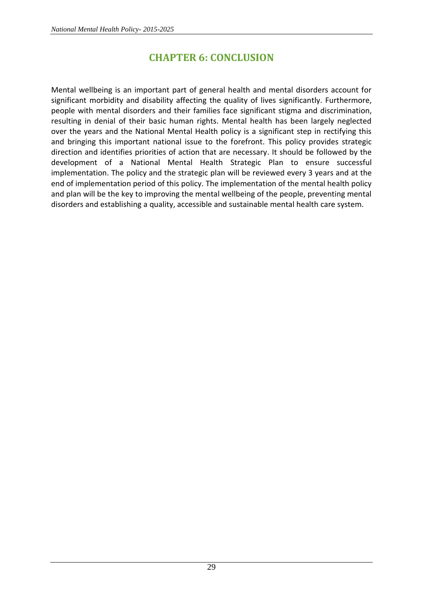# **CHAPTER 6: CONCLUSION**

<span id="page-35-0"></span>Mental wellbeing is an important part of general health and mental disorders account for significant morbidity and disability affecting the quality of lives significantly. Furthermore, people with mental disorders and their families face significant stigma and discrimination, resulting in denial of their basic human rights. Mental health has been largely neglected over the years and the National Mental Health policy is a significant step in rectifying this and bringing this important national issue to the forefront. This policy provides strategic direction and identifies priorities of action that are necessary. It should be followed by the development of a National Mental Health Strategic Plan to ensure successful implementation. The policy and the strategic plan will be reviewed every 3 years and at the end of implementation period of this policy. The implementation of the mental health policy and plan will be the key to improving the mental wellbeing of the people, preventing mental disorders and establishing a quality, accessible and sustainable mental health care system.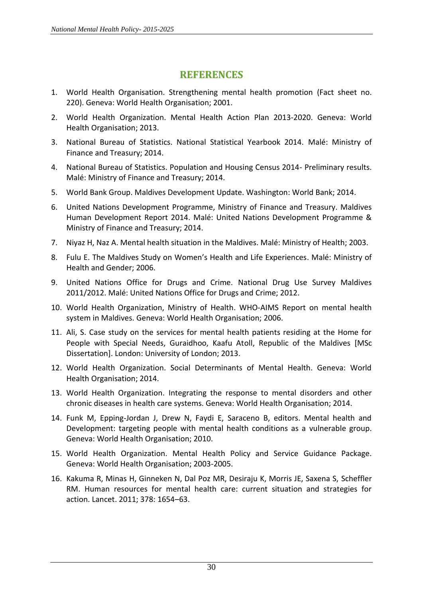# **REFERENCES**

- <span id="page-36-0"></span>1. World Health Organisation. Strengthening mental health promotion (Fact sheet no. 220). Geneva: World Health Organisation; 2001.
- 2. World Health Organization. Mental Health Action Plan 2013-2020. Geneva: World Health Organisation; 2013.
- 3. National Bureau of Statistics. National Statistical Yearbook 2014. Malé: Ministry of Finance and Treasury; 2014.
- 4. National Bureau of Statistics. Population and Housing Census 2014- Preliminary results. Malé: Ministry of Finance and Treasury; 2014.
- 5. World Bank Group. Maldives Development Update. Washington: World Bank; 2014.
- 6. United Nations Development Programme, Ministry of Finance and Treasury. Maldives Human Development Report 2014. Malé: United Nations Development Programme & Ministry of Finance and Treasury; 2014.
- 7. Niyaz H, Naz A. Mental health situation in the Maldives. Malé: Ministry of Health; 2003.
- 8. Fulu E. The Maldives Study on Women's Health and Life Experiences. Malé: Ministry of Health and Gender; 2006.
- 9. United Nations Office for Drugs and Crime. National Drug Use Survey Maldives 2011/2012. Malé: United Nations Office for Drugs and Crime; 2012.
- 10. World Health Organization, Ministry of Health. WHO-AIMS Report on mental health system in Maldives. Geneva: World Health Organisation; 2006.
- 11. Ali, S. Case study on the services for mental health patients residing at the Home for People with Special Needs, Guraidhoo, Kaafu Atoll, Republic of the Maldives [MSc Dissertation]. London: University of London; 2013.
- 12. World Health Organization. Social Determinants of Mental Health. Geneva: World Health Organisation; 2014.
- 13. World Health Organization. Integrating the response to mental disorders and other chronic diseases in health care systems. Geneva: World Health Organisation; 2014.
- 14. Funk M, Epping-Jordan J, Drew N, Faydi E, Saraceno B, editors. Mental health and Development: targeting people with mental health conditions as a vulnerable group. Geneva: World Health Organisation; 2010.
- 15. World Health Organization. Mental Health Policy and Service Guidance Package. Geneva: World Health Organisation; 2003-2005.
- 16. Kakuma R, Minas H, Ginneken N, Dal Poz MR, Desiraju K, Morris JE, Saxena S, Scheffler RM. Human resources for mental health care: current situation and strategies for action. Lancet. 2011; 378: 1654–63.